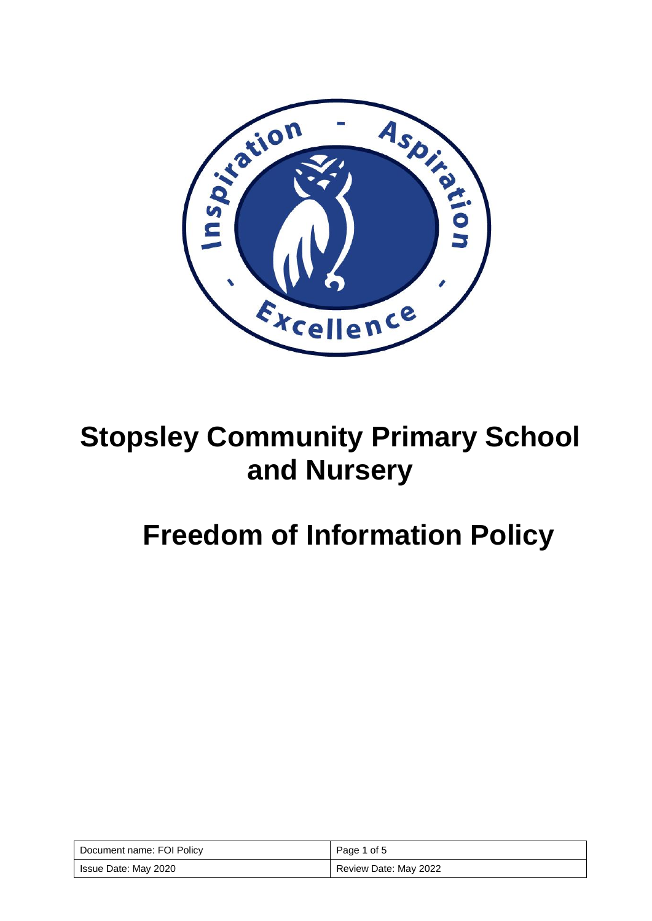

## **Stopsley Community Primary School and Nursery**

# **Freedom of Information Policy**

| Document name: FOI Policy | Page 1 of 5           |
|---------------------------|-----------------------|
| Issue Date: May 2020      | Review Date: May 2022 |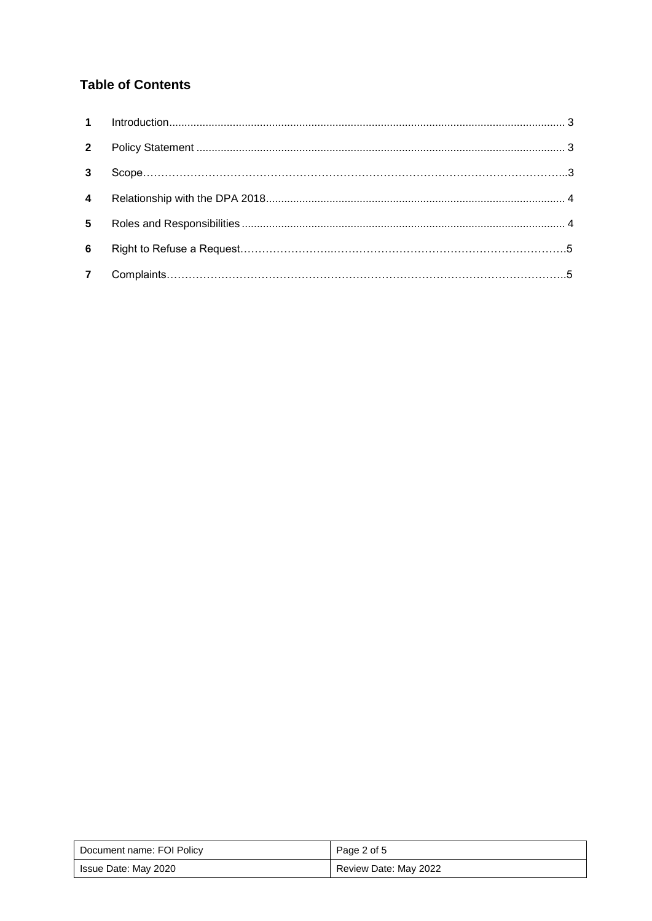### **Table of Contents**

| $2^{\circ}$     |  |
|-----------------|--|
| $\mathbf{3}$    |  |
| $\overline{4}$  |  |
| $5\overline{ }$ |  |
| 6               |  |
| $\overline{7}$  |  |

| Document name: FOI Policy | Page 2 of 5           |
|---------------------------|-----------------------|
| Issue Date: May 2020      | Review Date: May 2022 |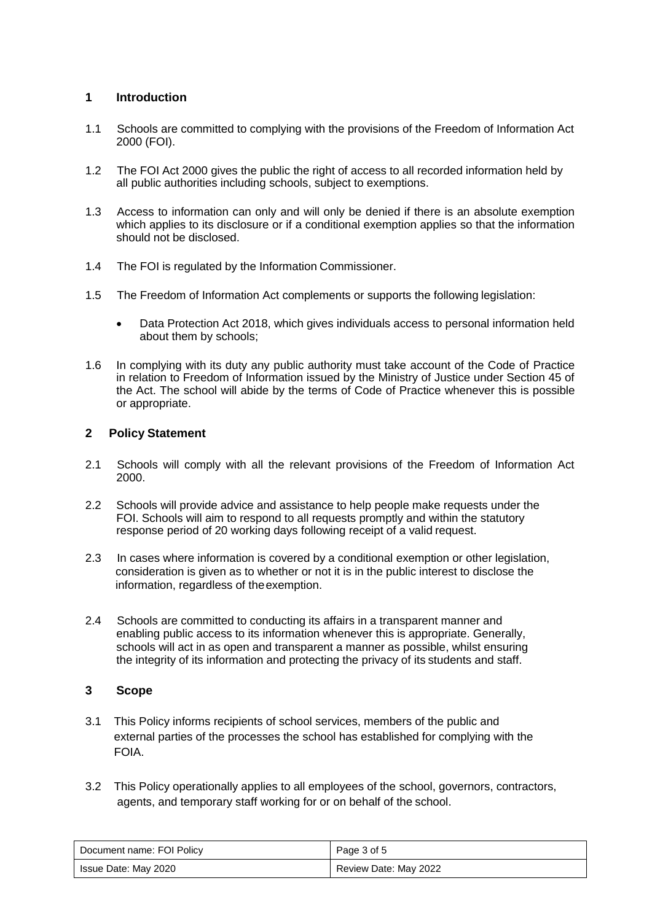#### **1 Introduction**

- 1.1 Schools are committed to complying with the provisions of the Freedom of Information Act 2000 (FOI).
- 1.2 The FOI Act 2000 gives the public the right of access to all recorded information held by all public authorities including schools, subject to exemptions.
- 1.3 Access to information can only and will only be denied if there is an absolute exemption which applies to its disclosure or if a conditional exemption applies so that the information should not be disclosed.
- 1.4 The FOI is regulated by the Information Commissioner.
- 1.5 The Freedom of Information Act complements or supports the following legislation:
	- Data Protection Act 2018, which gives individuals access to personal information held about them by schools;
- 1.6 In complying with its duty any public authority must take account of the Code of Practice in relation to Freedom of Information issued by the Ministry of Justice under Section 45 of the Act. The school will abide by the terms of Code of Practice whenever this is possible or appropriate.

#### **2 Policy Statement**

- 2.1 Schools will comply with all the relevant provisions of the Freedom of Information Act 2000.
- 2.2 Schools will provide advice and assistance to help people make requests under the FOI. Schools will aim to respond to all requests promptly and within the statutory response period of 20 working days following receipt of a valid request.
- 2.3 In cases where information is covered by a conditional exemption or other legislation, consideration is given as to whether or not it is in the public interest to disclose the information, regardless of theexemption.
- 2.4 Schools are committed to conducting its affairs in a transparent manner and enabling public access to its information whenever this is appropriate. Generally, schools will act in as open and transparent a manner as possible, whilst ensuring the integrity of its information and protecting the privacy of its students and staff.

#### **3 Scope**

- 3.1 This Policy informs recipients of school services, members of the public and external parties of the processes the school has established for complying with the FOIA.
- 3.2 This Policy operationally applies to all employees of the school, governors, contractors, agents, and temporary staff working for or on behalf of the school.

| Document name: FOI Policy | Page 3 of 5           |
|---------------------------|-----------------------|
| Issue Date: May 2020      | Review Date: May 2022 |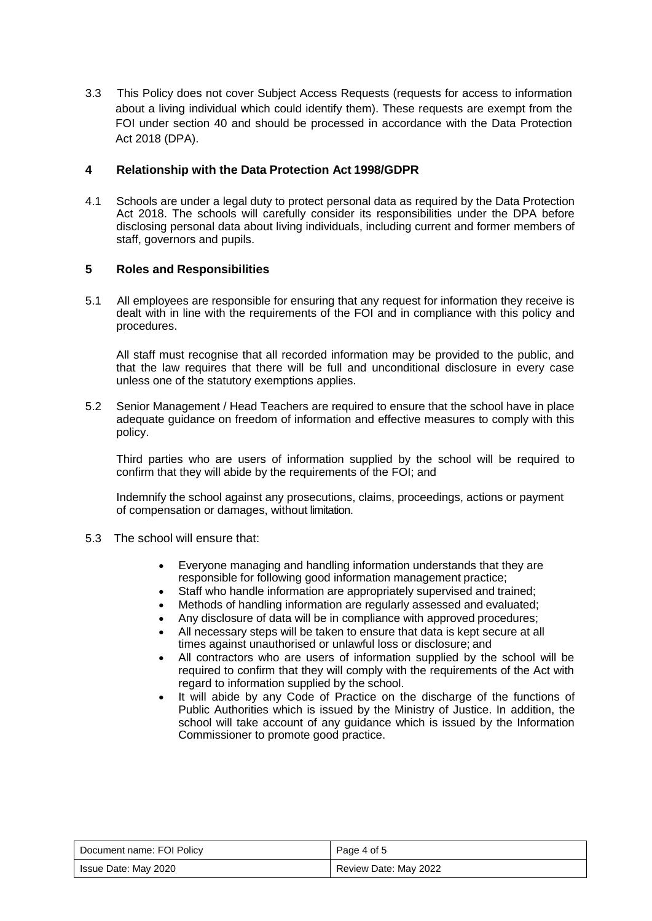3.3 This Policy does not cover Subject Access Requests (requests for access to information about a living individual which could identify them). These requests are exempt from the FOI under section 40 and should be processed in accordance with the Data Protection Act 2018 (DPA).

#### **4 Relationship with the Data Protection Act 1998/GDPR**

4.1 Schools are under a legal duty to protect personal data as required by the Data Protection Act 2018. The schools will carefully consider its responsibilities under the DPA before disclosing personal data about living individuals, including current and former members of staff, governors and pupils.

#### **5 Roles and Responsibilities**

5.1 All employees are responsible for ensuring that any request for information they receive is dealt with in line with the requirements of the FOI and in compliance with this policy and procedures.

All staff must recognise that all recorded information may be provided to the public, and that the law requires that there will be full and unconditional disclosure in every case unless one of the statutory exemptions applies.

5.2 Senior Management / Head Teachers are required to ensure that the school have in place adequate guidance on freedom of information and effective measures to comply with this policy.

Third parties who are users of information supplied by the school will be required to confirm that they will abide by the requirements of the FOI; and

Indemnify the school against any prosecutions, claims, proceedings, actions or payment of compensation or damages, without limitation.

- 5.3 The school will ensure that:
	- Everyone managing and handling information understands that they are responsible for following good information management practice;
	- Staff who handle information are appropriately supervised and trained;
	- Methods of handling information are regularly assessed and evaluated;
	- Any disclosure of data will be in compliance with approved procedures;
	- All necessary steps will be taken to ensure that data is kept secure at all times against unauthorised or unlawful loss or disclosure; and
	- All contractors who are users of information supplied by the school will be required to confirm that they will comply with the requirements of the Act with regard to information supplied by the school.
	- It will abide by any Code of Practice on the discharge of the functions of Public Authorities which is issued by the Ministry of Justice. In addition, the school will take account of any guidance which is issued by the Information Commissioner to promote good practice.

| Document name: FOI Policy | Page 4 of 5           |
|---------------------------|-----------------------|
| Issue Date: May 2020      | Review Date: May 2022 |